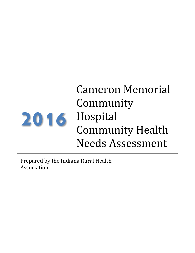

Cameron Memorial Community Hospital Community Health Needs Assessment

Prepared by the Indiana Rural Health Association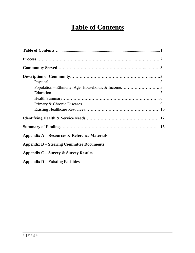# **Table of Contents**

| Appendix A – Resources & Reference Materials     |  |
|--------------------------------------------------|--|
| <b>Appendix B – Steering Committee Documents</b> |  |
| Appendix $C$ – Survey & Survey Results           |  |
| <b>Appendix D – Existing Facilities</b>          |  |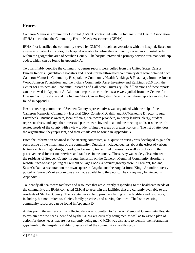# **Process**

Cameron Memorial Community Hospital (CMCH) contracted with the Indiana Rural Health Association (IRHA) to conduct the Community Health Needs Assessment (CHNA).

IRHA first identified the community served by CMCH through conversations with the hospital. Based on a review of patient zip codes, the hospital was able to define the community served as all postal codes within the geographic area of Steuben County. The hospital provided a primary service area map with zip codes, which can be found in Appendix A.

To quantifiably describe the community, census reports were pulled from the United States Census Bureau Reports. Quantifiable statistics and reports for health-related community data were obtained from Cameron Memorial Community Hospital, the Community Health Rankings & Roadmaps from the Robert Wood Johnson Foundation, and the Indiana Community Asset Inventory and Rankings 2016 from the Center for Business and Economic Research and Ball State University. The full versions of these reports can be viewed in Appendix A. Additional reports on chronic disease were pulled from the Centers for Disease Control website and the Indiana State Cancer Registry. Excerpts from these reports can also be found in Appendix A.

Next, a steering committee of Steuben County representatives was organized with the help of the Cameron Memorial Community Hospital CEO, Connie McCahill, and PR/Marketing Director, Laura Lutterbeck. Business owners, local officials, healthcare providers, minority leaders, clergy, student representatives, and any other interested parties were invited to attend the meeting to discuss the healthrelated needs of the county with a view to identifying the areas of greatest concern. The list of attendees, the organization they represent, and their emails can be found in Appendix B.

From the information obtained in the steering committee, a 50-question survey was developed to gain the perspective of the inhabitants of the community. Questions included queries about the effect of various factors (such as illegal drugs, obesity, and sexually transmitted diseases), as well as probes into the perceived need for various services and facilities in the county. The survey was widely disseminated to the residents of Steuben County through inclusion on the Cameron Memorial Community Hospital's website, face-to-face polling at Fremont Village Foods, a popular grocery store in Fremont, Indiana; Sutton's Deli, a restaurant on the town square in Angola; and the Angola Rural King. An online survey posted on SurveyMonkey.com was also made available to the public. The survey may be viewed in Appendix C.

To identify all healthcare facilities and resources that are currently responding to the healthcare needs of the community, the IRHA contacted CMCH to ascertain the facilities that are currently available to the residents of Steuben County. The hospital was able to provide a listing of the facilities and resources, including, but not limited to, clinics, family practices, and nursing facilities. The list of existing community resources can be found in Appendix D.

At this point, the entirety of the collected data was submitted to Cameron Memorial Community Hospital to explain how the needs identified by the CHNA are currently being met, as well as to write a plan of action for those needs that are not currently being met. CMCH was also able to identify the information gaps limiting the hospital's ability to assess all of the community's health needs.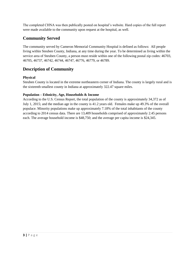The completed CHNA was then publically posted on hospital's website. Hard copies of the full report were made available to the community upon request at the hospital, as well.

# **Community Served**

The community served by Cameron Memorial Community Hospital is defined as follows: All people living within Steuben County, Indiana, at any time during the year. To be determined as living within the service area of Steuben County, a person must reside within one of the following postal zip codes: 46703, 46705, 46737, 46742, 46744, 46747, 46776, 46779, or 46789.

# **Description of Community**

# **Physical**

Steuben County is located in the extreme northeastern corner of Indiana. The county is largely rural and is the sixteenth smallest county in Indiana at approximately 322.47 square miles.

## **Population – Ethnicity, Age, Households & Income**

According to the U.S. Census Report, the total population of the county is approximately 34,372 as of July 1, 2015; and the median age in the county is 41.2 years old. Females make up 49.3% of the overall populace. Minority populations make up approximately 7.18% of the total inhabitants of the county according to 2014 census data. There are 13,409 households comprised of approximately 2.45 persons each. The average household income is \$48,750; and the average per capita income is \$24,345.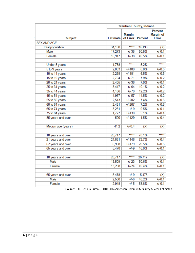|                         | <b>Steuben County, Indiana</b> |                           |                |                                             |
|-------------------------|--------------------------------|---------------------------|----------------|---------------------------------------------|
| <b>Subject</b>          | <b>Estimate</b>                | <b>Margin</b><br>of Error | <b>Percent</b> | <b>Percent</b><br>Margin of<br><b>Error</b> |
| <b>SEX AND AGE</b>      |                                |                           |                |                                             |
| <b>Total population</b> | 34,190                         | *****                     | 34,190         | (X)                                         |
| Male                    | 17,273                         | $+/-38$                   | 50.5%          | $+/-0.1$                                    |
| Female                  | 16,917                         | $+/-38$                   | 49.5%          | $+/-0.1$                                    |
|                         |                                |                           |                |                                             |
| Under 5 years           | 1,768                          | *****                     | 5.2%           | *****                                       |
| 5 to 9 years            | 2,053                          | $+/-180$                  | 6.0%           | $+/-0.5$                                    |
| 10 to 14 years          | 2,238                          | $+/-181$                  | 6.5%           | $+/-0.5$                                    |
| 15 to 19 years          | 2,704                          | $+/-71$                   | 7.9%           | $+/-0.2$                                    |
| 20 to 24 years          | 2,405                          | $+/-36$                   | 7.0%           | $+/-0.1$                                    |
| 25 to 34 years          | 3,447                          | $+/-64$                   | 10.1%          | $+/-0.2$                                    |
| 35 to 44 years          | 4,166                          | $+/-70$                   | 12.2%          | $+/-0.2$                                    |
| 45 to 54 years          | 4,967                          | $+/-57$                   | 14.5%          | $+/-0.2$                                    |
| 55 to 59 years          | 2,513                          | $+1 - 202$                | 7.4%           | $+/-0.6$                                    |
| 60 to 64 years          | 2,451                          | $+/-207$                  | 7.2%           | $+/-0.6$                                    |
| 65 to 74 years          | 3,251                          | $+/-9$                    | 9.5%           | $+/-0.1$                                    |
| 75 to 84 years          | 1,727                          | $+/-130$                  | 5.1%           | $+/-0.4$                                    |
| 85 years and over       | 500                            | $+1 - 129$                | 1.5%           | $+/-0.4$                                    |
|                         |                                |                           |                |                                             |
| Median age (years)      | 41.2                           | $+/-0.4$                  | (X)            | (X)                                         |
|                         |                                |                           |                |                                             |
| 18 years and over       | 26,717                         | *****                     | 78.1%          | *****                                       |
| 21 years and over       | 24,861                         | $+/-146$                  | 72.7%          | $+/-0.4$                                    |
| 62 years and over       | 6,998                          | $+/-179$                  | 20.5%          | $+/-0.5$                                    |
| 65 years and over       | 5,478                          | $+/-9$                    | 16.0%          | $+/-0.1$                                    |
|                         |                                |                           |                |                                             |
| 18 years and over       | 26,717                         | *****                     | 26,717         | (X)                                         |
| Male                    | 13,509                         | $+1 - 23$                 | 50.6%          | $+/-0.1$                                    |
| Female                  | 13,208                         | $+1 - 24$                 | 49.4%          | $+/-0.1$                                    |
|                         |                                |                           |                |                                             |
| 65 years and over       | 5,478                          | $+/-9$                    | 5,478          | (X)                                         |
| Male                    | 2,530                          | $+/-6$                    | 46.2%          | $+/-0.1$                                    |
| Female                  | 2,948                          | $+/-5$                    | 53.8%          | $+/-0.1$                                    |

Source: U.S. Census Bureau, 2010-2014 American Community Survey 5-Year Estimates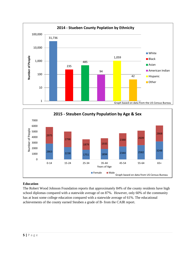



## **Education**

The Robert Wood Johnson Foundation reports that approximately 84% of the county residents have high school diplomas compared with a statewide average of on 87%. However, only 60% of the community has at least some college education compared with a statewide average of 61%. The educational achievements of the county earned Steuben a grade of B- from the CAIR report.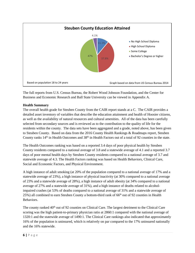

The full reports from U.S. Census Bureau, the Robert Wood Johnson Foundation, and the Center for Business and Economic Research and Ball State University can be viewed in Appendix A.

## **Health Summary**

The overall health grade for Steuben County from the CAIR report stands at a C. The CAIR provides a detailed asset inventory of variables that describe the education attainment and health of Hoosier citizens, as well as the availability of natural resources and cultural amenities. All of the data has been carefully selected from secondary sources and is reviewed as to the contribution to the quality of life for the residents within the county. The data sets have been aggregated and a grade, noted above, has been given to Steuben County. Based on data from the 2016 County Health Rankings & Roadmaps report, Steuben County ranks 14<sup>th</sup> in Health Outcomes and 38<sup>th</sup> in Health Factors out of a total of 92 counties in the state.

The Health Outcomes ranking was based on a reported 3.4 days of poor physical health by Steuben County residents compared to a national average of 3.8 and a statewide average of 4.1 and a reported 3.7 days of poor mental health days by Steuben County residents compared to a national average of 3.7 and statewide average of 4.3. The Health Factors ranking was based on Health Behaviors, Clinical Care, Social and Economic Factors, and Physical Environment.

A high instance of adult smoking (at 20% of the population compared to a national average of 17% and a statewide average of 23%), a high instance of physical inactivity (at 30% compared to a national average of 23% and a statewide average of 28%), a high instance of adult obesity (at 34% compared to a national average of 27% and a statewide average of 31%), and a high instance of deaths related to alcoholimpaired crashes (at 53% of deaths compared to a national average of 31% and a statewide average of  $25\%$ ) all combined to earn Steuben County a bottom-third rank of 66<sup>th</sup> out of 92 counties in Health Behaviors.

The county ranked  $40<sup>th</sup>$  out of 92 counties on Clinical Care. The largest detriment to the Clinical Care scoring was the high patient-to-primary physician ratio at 2860:1 compared with the national average of 1320:1 and the statewide average of 1490:1. The Clinical Care rankings also indicated that approximately 16% of the population is uninsured, which is relatively on par compared to the 17% uninsured nationally and the 16% statewide.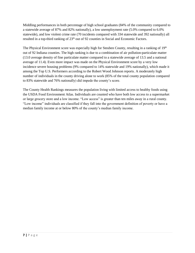Middling performances in both percentage of high school graduates (84% of the community compared to a statewide average of 87% and 82% nationally), a low unemployment rate (5.0% compared to 6.0% statewide), and low violent crime rate (70 incidents compared with 334 statewide and 392 nationally) all resulted in a top-third ranking of 23<sup>th</sup> out of 92 counties in Social and Economic Factors.

The Physical Environment score was especially high for Steuben County, resulting in a ranking of  $19<sup>th</sup>$ out of 92 Indiana counties. The high ranking is due to a combination of air pollution-particulate matter (13.0 average density of fine particulate matter compared to a statewide average of 13.5 and a national average of 11.4). Even more impact was made on the Physical Environment score by a very low incidence severe housing problems (9% compared to 14% statewide and 19% nationally), which made it among the Top U.S. Performers according to the Robert Wood Johnson reports. A moderately high number of individuals in the county driving alone to work (85% of the total county population compared to 83% statewide and 76% nationally) did impede the county's score.

The County Health Rankings measures the population living with limited access to healthy foods using the USDA Food Environment Atlas. Individuals are counted who have both low access to a supermarket or large grocery store and a low income. "Low access" is greater than ten miles away in a rural county. "Low income" individuals are classified if they fall into the government definition of poverty or have a median family income at or below 80% of the county's median family income.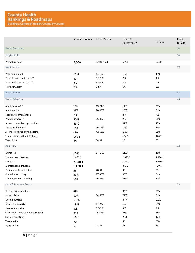|                                      | <b>Steuben County</b> | <b>Error Margin</b> | Top U.S.<br>Performers^ | Indiana | Rank<br>$($ of 92 $)$ |
|--------------------------------------|-----------------------|---------------------|-------------------------|---------|-----------------------|
| <b>Health Outcomes</b>               |                       |                     |                         |         | 14                    |
| Length of Life                       |                       |                     |                         |         | 14                    |
| Premature death                      | 6,500                 | 5,500-7,500         | 5,200                   | 7,600   |                       |
| Quality of Life                      |                       |                     |                         |         | 19                    |
| Poor or fair health**                | 15%                   | 14-15%              | 12%                     | 19%     |                       |
| Poor physical health days**          | 3.4                   | $3.3 - 3.6$         | 2.9                     | 4.1     |                       |
| Poor mental health days**            | 3.7                   | $3.5 - 3.8$         | 2.8                     | 4.3     |                       |
| Low birthweight                      | 7%                    | $6 - 8%$            | 6%                      | 8%      |                       |
| <b>Health Factors</b>                |                       |                     |                         |         | 38                    |
| <b>Health Behaviors</b>              |                       |                     |                         |         | 66                    |
| Adult smoking**                      | 20%                   | 19-21%              | 14%                     | 23%     |                       |
| Adult obesity                        | 34%                   | 28-40%              | 25%                     | 31%     |                       |
| Food environment index               | 7.4                   |                     | 8.3                     | 7.2     |                       |
| Physical inactivity                  | 30%                   | 25-37%              | 20%                     | 28%     |                       |
| Access to exercise opportunities     | 49%                   |                     | 91%                     | 75%     |                       |
| Excessive drinking**                 | 16%                   | 16-17%              | 12%                     | 16%     |                       |
| Alcohol-impaired driving deaths      | 53%                   | 42-63%              | 14%                     | 25%     |                       |
| Sexually transmitted infections      | 149.5                 |                     | 134.1                   | 428.7   |                       |
| Teen births                          | 38                    | 34-42               | 19                      | 37      |                       |
| <b>Clinical Care</b>                 |                       |                     |                         |         | 40                    |
| Uninsured                            | 16%                   | 14-17%              | 11%                     | 16%     |                       |
| Primary care physicians              | 2,860:1               |                     | 1,040:1                 | 1,490:1 |                       |
| Dentists                             | 2,640:1               |                     | 1,340:1                 | 1,930:1 |                       |
| Mental health providers              | 1,430:1               |                     | 370:1                   | 710:1   |                       |
| Preventable hospital stays           | 56                    | 48-64               | 38                      | 63      |                       |
| Diabetic monitoring                  | 86%                   | 77-95%              | 90%                     | 84%     |                       |
| Mammography screening                | 56%                   | 46-65%              | 71%                     | 62%     |                       |
| Social & Economic Factors            |                       |                     |                         |         | 23                    |
| High school graduation               | 84%                   |                     | 93%                     | 87%     |                       |
| Some college                         | 60%                   | 54-65%              | 72%                     | 61%     |                       |
| Unemployment                         | 5.0%                  |                     | 3.5%                    | 6.0%    |                       |
| Children in poverty                  | 19%                   | 14-24%              | 13%                     | 21%     |                       |
| Income inequality                    | 3.6                   | $3.3 - 3.9$         | 3.7                     | 4.4     |                       |
| Children in single-parent households | 31%                   | 25-37%              | 21%                     | 34%     |                       |
| Social associations                  | 16.6                  |                     | 22.1                    | 12.6    |                       |
| Violent crime                        | 70                    |                     | 59                      | 334     |                       |
| Injury deaths                        | 51                    | 41-63               | 51                      | 63      |                       |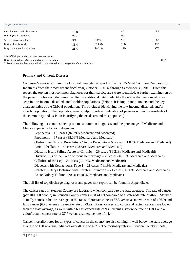#### Physical Environment

| Air pollution - particulate matter | 13.0 |        | 9.5 | 13.5 |
|------------------------------------|------|--------|-----|------|
| Drinking water violations          | Yes  |        | No  |      |
| Severe housing problems            | 9%   | 8-11%  | 9%  | 14%  |
| Driving alone to work              | 85%  | 83-86% | 71% | 83%  |
| Long commute - driving alone       | 28%  | 24-31% | 15% | 30%  |

^ 10th/90th percentile, i.e., only 10% are better.

Note: Blank values reflect unreliable or missing data

\*\* Data should not be compared with prior years due to changes in definition/methods

#### **Primary and Chronic Diseases**

Cameron Memorial Community Hospital generated a report of the Top 25 Most Common Diagnosis for Inpatients from their most recent fiscal year, October 1, 2014, through September 30, 2015. From this report, the top ten most common diagnoses for their service area were identified. A further examination of the payer mix for each diagnosis resulted in additional data to identify the issues that were most often seen in low-income, disabled, and/or older populations. (\*Note: It is important to understand the key characteristics of the CMCH population. This includes identifying the low-income, disabled, and/or elderly population. The population trends help provide an indication of patterns within the residents of the community and assist in identifying the needs around this populace.)

The following list contains the top ten most common diagnoses and the percentage of Medicare and Medicaid patients for each diagnosis:

Septicemia – 111 cases (87.39% Medicare and Medicaid) Pneumonia – 67 cases (88.06% Medicare and Medicaid) Obstructive Chronic Bronchitis w/ Acute Bronchitis – 66 cases (81.82% Medicare and Medicaid) Atrial Fibrillation – 42 cases (73.81% Medicare and Medicaid) Diastolic Heart Failure Acute or Chronic  $-29$  cases (86.21% Medicare and Medicaid) Diverticulitis of the Colon without Hemorrhage – 26 cases (46.15% Medicare and Medicaid) Cellulitis of the Leg  $-21$  cases (57.14% Medicare and Medicaid) Diabetes with Ketoacidosis Type  $1 - 21$  cases (76.19% Medicare and Medicaid) Cerebral Artery Occlusion with Cerebral Infarction  $-21$  cases (80.95% Medicare and Medicaid) Acute Kidney Failure – 20 cases (85% Medicare and Medicaid)

The full list of top discharge diagnoses and payer mix report can be found in Appendix A.

The cancer rates in Steuben County are favorable when compared to the state average. The rate of cancer (per 100,000 people) in Steuben County comes in at 411.9 compared to a statewide rate of 466.6. Steuben actually comes in below average on the rates of prostate cancer (87.3 versus a statewide rate of 106.9) and lung cancer (65.5 versus a statewide rate of 73.9). Breast cancer and colon and rectum cancers are lower than the state average, as well, with a breast cancer rate of 93.0 versus a statewide rate of 118.1 and a colon/rectum cancer rate of 37.7 versus a statewide rate of 44.4.

Cancer mortality rates for all types of cancer in the county are also coming in well below the state average at a rate of 170.4 versus Indiana's overall rate of 187.3. The mortality rates in Steuben County in both

2016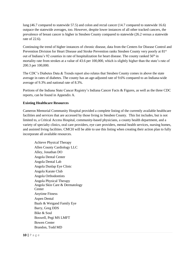lung (46.7 compared to statewide 57.5) and colon and rectal cancer (14.7 compared to statewide 16.6) outpace the statewide averages, too. However, despite lower instances of all other tracked cancers, the prevalence of breast cancer is higher in Steuben County compared to statewide (26.2 versus a statewide rate of 22.6).

Continuing the trend of higher instances of chronic disease, data from the Centers for Disease Control and Prevention Division for Heart Disease and Stroke Prevention ranks Steuben County very poorly at 81<sup>st</sup> out of Indiana's 92 counties in rate of hospitalization for heart disease. The county ranked  $56<sup>th</sup>$  in mortality rate from strokes at a value of 43.6 per 100,000, which is slightly higher than the state's rate of 200.3 per 100,000.

The CDC's Diabetes Data & Trends report also relates that Steuben County comes in above the state average in rates of diabetes. The county has an age-adjusted rate of 9.6% compared to an Indiana-wide average of 9.3% and national rate of 8.3%.

Portions of the Indiana State Cancer Registry's Indiana Cancer Facts & Figures, as well as the three CDC reports, can be found in Appendix A.

### **Existing Healthcare Resources**

Cameron Memorial Community Hospital provided a complete listing of the currently available healthcare facilities and services that are accessed by those living in Steuben County. This list includes, but is not limited to, a Critical Access Hospital, community-based physicians, a county health department, and a variety of specialty clinics, oral care providers, eye care providers, mental health services, nursing homes, and assisted living facilities. CMCH will be able to use this listing when creating their action plan to fully incorporate all available resources.

Achieve Physical Therapy Allen County Cardiology LLC Alley, Jonathan DO Angola Dental Center Angola Dental Lab Angola Dunlap Eye Clinic Angola Karate Club Angola Orthodontists Angola Physical Therapy Angola Skin Care & Dermatology **Center** Anytime Fitness Aspen Dental Baals & Weigand Family Eye Barry, Greg DDS Bike & Soul Boswell, Pegi MS LMFT Bowen Center Brandon, Todd MD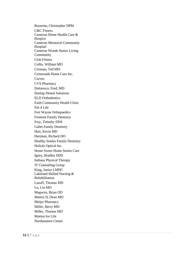Bussema, Christopher DPM C&C Fitness Cameron Home Health Care & Hospice Cameron Memorial Community Hospital Cameron Woods Senior Living Community Club Fitness Collis, William MD Crisman, Ted MD Crossroads Home Care Inc. Curves CVS Pharmacy Doloresco, Fred, MD Dunlap Dental Solutions ELD Orthodontics Faith Community Health Clinic Fitt 4 Life Fort Wayne Orthopaedics Fremont Family Dentistry Frey, Timothy DDS Gabet Family Dentistry Hart, Kevin MD Hartman, Richard DO Healthy Smiles Family Dentistry Holicki Optical Inc. Home Sweet Home Senior Care Igney, Bradley DDS Indiana Physical Therapy JT Counseling Group King, Janice LMHC Lakeland Skilled Nursing & Rehabilitation Lazoff, Thomas MD Lu, Lin MD Magwire, Brian OD Mattox II, Dean MD Meijer Pharmacy Miller, Berry MD Miller, Thomas MD Motion for Life Northeastern Center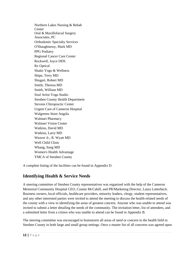Northern Lakes Nursing & Rehab **Center** Oral & Maxillofacial Surgery Associates, PC Orthodontic Specialty Services O'Shaughnessy, Mark MD PPG Podiatry Regional Cancer Care Center Rockwell, Joyce DDS Rx Optical Shakti Yogo & Wellness Shipe, Terry MD Shugart, Robert MD Smith, Theresa MD Smith, William MD Soul Artist Yoga Studio Steuben County Health Department Stevens Chiropractic Center Urgent Care of Cameron Hospital Walgreens Store Angola Walmart Pharmacy Walmart Vision Center Watkins, David MD Watkins, Larry MD Weaver Jr., R. Wyatt MD Well Child Clinic Whang, Sung MD Women's Health Advantage YMCA of Steuben County

A complete listing of the facilities can be found in Appendix D.

# **Identifying Health & Service Needs**

A steering committee of Steuben County representatives was organized with the help of the Cameron Memorial Community Hospital CEO, Connie McCahill, and PR/Marketing Director, Laura Lutterbeck. Business owners, local officials, healthcare providers, minority leaders, clergy, student representatives, and any other interested parties were invited to attend the meeting to discuss the health-related needs of the county with a view to identifying the areas of greatest concern. Anyone who was unable to attend was invited to submit a letter detailing the needs of the community. The invitation letter, list of attendees, and a submitted letter from a citizen who was unable to attend can be found in Appendix B.

The steering committee was encouraged to brainstorm all areas of need or concern in the health field in Steuben County in both large and small group settings. Once a master list of all concerns was agreed upon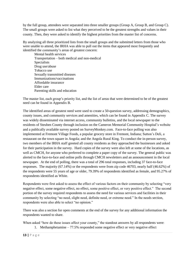by the full group, attendees were separated into three smaller groups (Group A, Group B, and Group C). The small groups were asked to list what they perceived to be the greatest strengths and values in their county. Then, they were asked to identify the highest priorities from the master list of concerns.

By analyzing all three prioritized lists from the small groups and the submitted letters from those who were unable to attend, the IRHA was able to pull out the items that appeared most frequently and identified the community's areas of greatest concern:

Mental health services Transportation – both medical and non-medical **Specialists** Drug use/abuse Tobacco use Sexually transmitted diseases Immunizations/vaccinations Affordable insurance Elder care Parenting skills and education

The master list, each group's priority list, and the list of areas that were determined to be of the greatest need can be found in Appendix B.

The identified areas of greatest need were used to create a 50-question survey, addressing demographics, county issues, and community services and amenities, which can be found in Appendix C. The survey was widely disseminated via internet access, community bulletins, and the local newspaper to the residents of Steuben County through inclusion on the Cameron Memorial Community Hospital's website and a publically available survey posted on SurveyMonkey.com. Face-to-face polling was also implemented at Fremont Village Foods, a popular grocery store in Fremont, Indiana; Sutton's Deli, a restaurant on the town square in Angola; and the Angola Rural King. To conduct the in-person survey, two members of the IRHA staff greeted all county residents as they approached the businesses and asked for their participation in the survey. Hard copies of the survey were also left at some of the locations, as well as CMCH, for anyone who preferred to complete a paper copy of the survey. The general public was alerted to the face-to-face and online polls through CMCH newsletters and an announcement in the local newspaper. At the end of polling, there was a total of 296 total responses, including 37 face-to-face responses. The majority (67.14%) or the respondents were from zip code 46703, nearly half (46.62%) of the respondents were 55 years of age or older, 79.39% of respondents identified as female, and 95.27% of respondents identified as White.

Respondents were first asked to assess the effect of various factors on their community by selecting "very negative effect, some negative effect, no effect, some positive effect, or very positive effect." The second portion of the survey required respondents to assess the need for various services and facilities in their community by selecting "no need, slight need, definite need, or extreme need." In the needs section, respondents were also able to select "no opinion."

There was also a section for open comments at the end of the survey for any additional information the respondents wanted to share.

When asked "how do these issues affect your county," the standout answers by all respondents were:

1. Methamphetamine  $-77.5\%$  responded some negative effect or very negative effect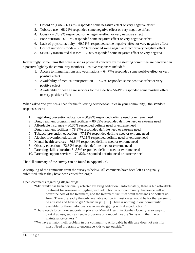- 2. Opioid drug use  $-69.42\%$  responded some negative effect or very negative effect
- 3. Tobacco use 68.21% responded some negative effect or very negative effect
- 4. Obesity 67.49% responded some negative effect or very negative effect
- 5. Poor nutrition 61.87% responded some negative effect or very negative effect
- 6. Lack of physical activity  $-60.71\%$  responded some negative effect or very negative effect
- 7. Cost of nutritious foods 55.72% responded some negative effect or very negative effect
- 8. Sexually transmitted diseases 50.0% responded some negative effect or very negative

Interestingly, some items that were raised as potential concerns by the steering committee are perceived in a positive light by the community members. Positive responses included:

- 1. Access to immunizations and vaccinations 64.77% responded some positive effect or very positive effect
- 2. Availability of medical transportation 57.65% responded some positive effect or very positive effect
- 3. Availability of health care services for the elderly  $-56.49\%$  responded some positive effect or very positive effect

When asked "do you see a need for the following services/facilities in your community," the standout responses were:

- 1. Illegal drug prevention education 80.99% responded definite need or extreme need
- 2. Drug treatment programs and facilities 80.35% responded definite need or extreme need
- 3. Affordable insurance 80.35% responded definite need or extreme need
- 4. Drug treatment facilities 78.37% responded definite need or extreme need
- 5. Tobacco prevention education 77.12% responded definite need or extreme need
- 6. Alcohol prevention education  $-77.11\%$  responded definite need or extreme need
- 7. Mental health services 76.84% responded definite need or extreme need
- 8. Obesity education 72.89% responded definite need or extreme need
- 9. Parenting skills education 71.38% responded definite need or extreme need
- 10. Parenting support services 70.82% responded definite need or extreme need

The full summary of the survey can be found in Appendix C.

A sampling of the comments from the survey is below. All comments have been left as originally submitted unless they have been edited for length.

#### Open comments regarding illegal drugs:

- "My family has been personally affected by Drug addiction. Unfortunately, there is No affordable treatment for someone struggling with addiction in our community. Insurance will not cover the cost of the treatment, and the treatment facilities want thousands of dollars up front. Therefore, sadly the only available option in most cases would be for that person to be arrested and have to get "clean" in jail [….] There is nothing in our community available for these individuals who are struggling with drug addiction."
- "There needs to be more supports in place for Mental Health in Steuben County, also ways to treat drug use, such as needle programs or a model like the Swiss with their heroin maintenance centers."
- "We have a major meth problem in our community. Affordable health care does not exist for most. Need programs to encourage kids to get outside."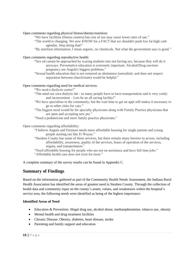#### Open comments regarding physical fitness/obesity/nutrition:

"We have facilities (fitness centers) but cost of use may cause lower rates of use."

"The world is changing. We now KNOW for a FACT that we shouldn't push low fat high carb agendas. Stop doing that!"

"By nutrition information, I mean organic, no chemicals. Not what the government says is good."

#### Open comments regarding reproductive health:

"Sex ed cannot be approached by scaring students into not having sex, because they will do it anyways. Preventative education is extremely important. Alcohol/Drug use/teen pregnancy are Angola's biggest problems."

"Sexual health education that is not centered on abstinence (unrealistic and does not respect separation between church/state) would be helpful."

#### Open comments regarding need for medical services:

"We need a dyalysis center!"

- "The need our own dialysis lab so many people have to have transportation and is very costly and inconvenient – Lets be an all saving facility!"
- "We have specialists in the community, but the wait time to get an appt still makes it necessary to go to other cities for care."
- "The biggest need would be for specialty physicians along with Family Practice physicians that are open and accepting new pts."
- "Need a pediatrician and more family practice physicians."

Open comments regarding affordability:

- "I believe Angola and Fremont needs more affordable housing for single parents and young people starting out like Ft Wayne."
- "Steuben County has some of these services, but there remain many barriers to access, including affordability, awareness, quality of the services, hours of operation of the services, stigma, and transportation."

"Need affordable housing for people who are not on assistance and have full time jobs." "Affordable health care does not exist for most."

A complete summary of the survey results can be found in Appendix C.

# **Summary of Findings**

Based on the information gathered as part of the Community Health Needs Assessment, the Indiana Rural Health Association has identified the areas of greatest need in Steuben County. Through the collection of health data and community input on the county's assets, values, and weaknesses within the hospital's service area, the following needs were identified as being of the highest importance:

#### **Identified Areas of Need**

- Education & Prevention: illegal drug use, alcohol abuse, methamphetamine, tobacco use, obesity
- Mental health and drug treatment facilities
- Chronic Disease: Obesity, diabetes, heart disease, stroke
- Parenting and family support and education